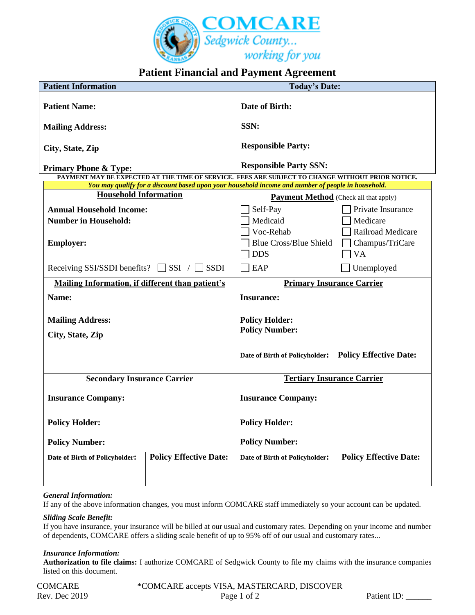

# **Patient Financial and Payment Agreement**

| <b>Patient Information</b>                                                                                                                                                                             | <b>Today's Date:</b>                                            |
|--------------------------------------------------------------------------------------------------------------------------------------------------------------------------------------------------------|-----------------------------------------------------------------|
| <b>Patient Name:</b>                                                                                                                                                                                   | <b>Date of Birth:</b>                                           |
| <b>Mailing Address:</b>                                                                                                                                                                                | SSN:                                                            |
| City, State, Zip                                                                                                                                                                                       | <b>Responsible Party:</b>                                       |
| <b>Primary Phone &amp; Type:</b>                                                                                                                                                                       | <b>Responsible Party SSN:</b>                                   |
| PAYMENT MAY BE EXPECTED AT THE TIME OF SERVICE. FEES ARE SUBJECT TO CHANGE WITHOUT PRIOR NOTICE.<br>You may qualify for a discount based upon your household income and number of people in household. |                                                                 |
| <b>Household Information</b>                                                                                                                                                                           |                                                                 |
|                                                                                                                                                                                                        | <b>Payment Method</b> (Check all that apply)                    |
| <b>Annual Household Income:</b>                                                                                                                                                                        | Self-Pay<br>Private Insurance                                   |
| <b>Number in Household:</b>                                                                                                                                                                            | Medicaid<br>Medicare                                            |
|                                                                                                                                                                                                        | Voc-Rehab<br>Railroad Medicare                                  |
| <b>Employer:</b>                                                                                                                                                                                       | <b>Blue Cross/Blue Shield</b><br>Champus/TriCare                |
|                                                                                                                                                                                                        | <b>DDS</b><br><b>VA</b>                                         |
| $\Box$ SSI / $\Box$ SSDI<br>Receiving SSI/SSDI benefits?                                                                                                                                               | EAP<br>Unemployed                                               |
| Mailing Information, if different than patient's                                                                                                                                                       | <b>Primary Insurance Carrier</b>                                |
| Name:                                                                                                                                                                                                  | <b>Insurance:</b>                                               |
| <b>Mailing Address:</b>                                                                                                                                                                                | <b>Policy Holder:</b>                                           |
|                                                                                                                                                                                                        | <b>Policy Number:</b>                                           |
| City, State, Zip                                                                                                                                                                                       |                                                                 |
|                                                                                                                                                                                                        | <b>Policy Effective Date:</b><br>Date of Birth of Policyholder: |
| <b>Secondary Insurance Carrier</b>                                                                                                                                                                     | <b>Tertiary Insurance Carrier</b>                               |
| <b>Insurance Company:</b>                                                                                                                                                                              | <b>Insurance Company:</b>                                       |
| <b>Policy Holder:</b>                                                                                                                                                                                  | <b>Policy Holder:</b>                                           |
| <b>Policy Number:</b>                                                                                                                                                                                  | <b>Policy Number:</b>                                           |
| <b>Policy Effective Date:</b><br>Date of Birth of Policyholder:                                                                                                                                        | <b>Policy Effective Date:</b><br>Date of Birth of Policyholder: |
|                                                                                                                                                                                                        |                                                                 |

### *General Information:*

If any of the above information changes, you must inform COMCARE staff immediately so your account can be updated.

## *Sliding Scale Benefit:*

If you have insurance, your insurance will be billed at our usual and customary rates. Depending on your income and number of dependents, COMCARE offers a sliding scale benefit of up to 95% off of our usual and customary rates...

### *Insurance Information:*

**Authorization to file claims:** I authorize COMCARE of Sedgwick County to file my claims with the insurance companies listed on this document.

COMCARE \*COMCARE accepts VISA, MASTERCARD, DISCOVER Rev. Dec 2019 Page 1 of 2 Patient ID: